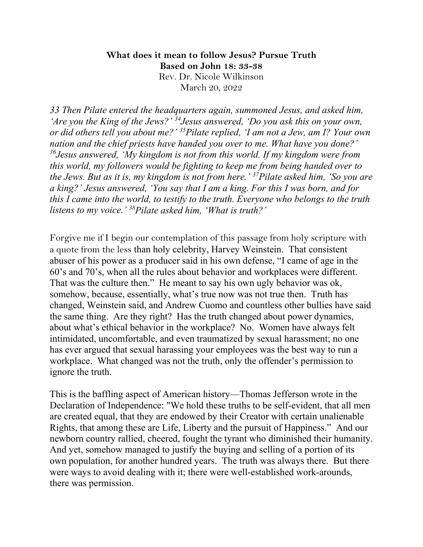## **What does it mean to follow Jesus? Pursue Truth Based on John 18: 33-38** Rev. Dr. Nicole Wilkinson March 20, 2022

*33 Then Pilate entered the headquarters again, summoned Jesus, and asked him, 'Are you the King of the Jews?' 34Jesus answered, 'Do you ask this on your own, or did others tell you about me?' 35Pilate replied, 'I am not a Jew, am I? Your own nation and the chief priests have handed you over to me. What have you done?' 36Jesus answered, 'My kingdom is not from this world. If my kingdom were from this world, my followers would be fighting to keep me from being handed over to the Jews. But as it is, my kingdom is not from here.' 37Pilate asked him, 'So you are a king?' Jesus answered, 'You say that I am a king. For this I was born, and for this I came into the world, to testify to the truth. Everyone who belongs to the truth listens to my voice.' 38Pilate asked him, 'What is truth?'*

Forgive me if I begin our contemplation of this passage from holy scripture with a quote from the less than holy celebrity, Harvey Weinstein. That consistent abuser of his power as a producer said in his own defense, "I came of age in the 60's and 70's, when all the rules about behavior and workplaces were different. That was the culture then." He meant to say his own ugly behavior was ok, somehow, because, essentially, what's true now was not true then. Truth has changed, Weinstein said, and Andrew Cuomo and countless other bullies have said the same thing. Are they right? Has the truth changed about power dynamics, about what's ethical behavior in the workplace? No. Women have always felt intimidated, uncomfortable, and even traumatized by sexual harassment; no one has ever argued that sexual harassing your employees was the best way to run a workplace. What changed was not the truth, only the offender's permission to ignore the truth.

This is the baffling aspect of American history—Thomas Jefferson wrote in the Declaration of Independence: "We hold these truths to be self-evident, that all men are created equal, that they are endowed by their Creator with certain unalienable Rights, that among these are Life, Liberty and the pursuit of Happiness." And our newborn country rallied, cheered, fought the tyrant who diminished their humanity. And yet, somehow managed to justify the buying and selling of a portion of its own population, for another hundred years. The truth was always there. But there were ways to avoid dealing with it; there were well-established work-arounds, there was permission.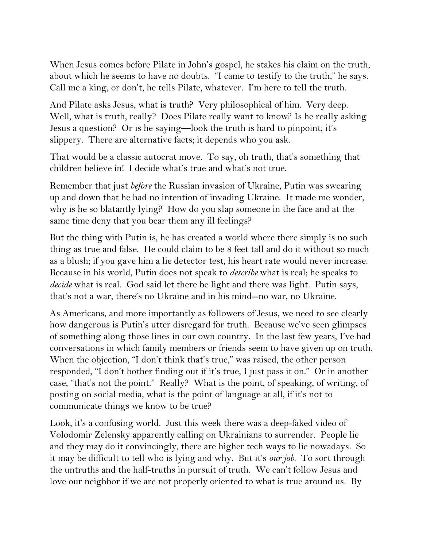When Jesus comes before Pilate in John's gospel, he stakes his claim on the truth, about which he seems to have no doubts. "I came to testify to the truth," he says. Call me a king, or don't, he tells Pilate, whatever. I'm here to tell the truth.

And Pilate asks Jesus, what is truth? Very philosophical of him. Very deep. Well, what is truth, really? Does Pilate really want to know? Is he really asking Jesus a question? Or is he saying—look the truth is hard to pinpoint; it's slippery. There are alternative facts; it depends who you ask.

That would be a classic autocrat move. To say, oh truth, that's something that children believe in! I decide what's true and what's not true.

Remember that just *before* the Russian invasion of Ukraine, Putin was swearing up and down that he had no intention of invading Ukraine. It made me wonder, why is he so blatantly lying? How do you slap someone in the face and at the same time deny that you bear them any ill feelings?

But the thing with Putin is, he has created a world where there simply is no such thing as true and false. He could claim to be 8 feet tall and do it without so much as a blush; if you gave him a lie detector test, his heart rate would never increase. Because in his world, Putin does not speak to *describe* what is real; he speaks to *decide* what is real. God said let there be light and there was light. Putin says, that's not a war, there's no Ukraine and in his mind--no war, no Ukraine.

As Americans, and more importantly as followers of Jesus, we need to see clearly how dangerous is Putin's utter disregard for truth. Because we've seen glimpses of something along those lines in our own country. In the last few years, I've had conversations in which family members or friends seem to have given up on truth. When the objection, "I don't think that's true," was raised, the other person responded, "I don't bother finding out if it's true, I just pass it on." Or in another case, "that's not the point." Really? What is the point, of speaking, of writing, of posting on social media, what is the point of language at all, if it's not to communicate things we know to be true?

Look, it's a confusing world. Just this week there was a deep-faked video of Volodomir Zelensky apparently calling on Ukrainians to surrender. People lie and they may do it convincingly, there are higher tech ways to lie nowadays. So it may be difficult to tell who is lying and why. But it's *our job*. To sort through the untruths and the half-truths in pursuit of truth. We can't follow Jesus and love our neighbor if we are not properly oriented to what is true around us. By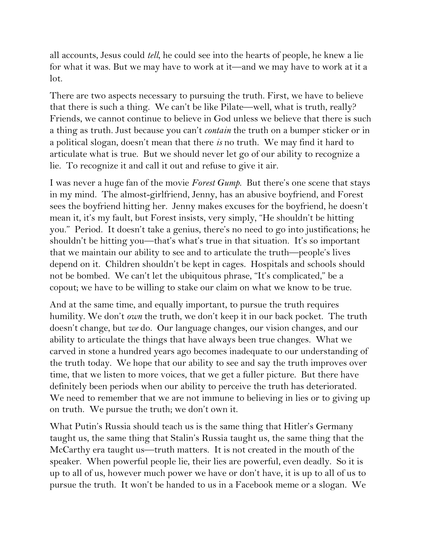all accounts, Jesus could *tell*, he could see into the hearts of people, he knew a lie for what it was. But we may have to work at it—and we may have to work at it a lot.

There are two aspects necessary to pursuing the truth. First, we have to believe that there is such a thing. We can't be like Pilate—well, what is truth, really? Friends, we cannot continue to believe in God unless we believe that there is such a thing as truth. Just because you can't *contain* the truth on a bumper sticker or in a political slogan, doesn't mean that there *is* no truth. We may find it hard to articulate what is true. But we should never let go of our ability to recognize a lie. To recognize it and call it out and refuse to give it air.

I was never a huge fan of the movie *Forest Gump*. But there's one scene that stays in my mind. The almost-girlfriend, Jenny, has an abusive boyfriend, and Forest sees the boyfriend hitting her. Jenny makes excuses for the boyfriend, he doesn't mean it, it's my fault, but Forest insists, very simply, "He shouldn't be hitting you." Period. It doesn't take a genius, there's no need to go into justifications; he shouldn't be hitting you—that's what's true in that situation. It's so important that we maintain our ability to see and to articulate the truth—people's lives depend on it. Children shouldn't be kept in cages. Hospitals and schools should not be bombed. We can't let the ubiquitous phrase, "It's complicated," be a copout; we have to be willing to stake our claim on what we know to be true.

And at the same time, and equally important, to pursue the truth requires humility. We don't *own* the truth, we don't keep it in our back pocket. The truth doesn't change, but *we* do. Our language changes, our vision changes, and our ability to articulate the things that have always been true changes. What we carved in stone a hundred years ago becomes inadequate to our understanding of the truth today. We hope that our ability to see and say the truth improves over time, that we listen to more voices, that we get a fuller picture. But there have definitely been periods when our ability to perceive the truth has deteriorated. We need to remember that we are not immune to believing in lies or to giving up on truth. We pursue the truth; we don't own it.

What Putin's Russia should teach us is the same thing that Hitler's Germany taught us, the same thing that Stalin's Russia taught us, the same thing that the McCarthy era taught us—truth matters. It is not created in the mouth of the speaker. When powerful people lie, their lies are powerful, even deadly. So it is up to all of us, however much power we have or don't have, it is up to all of us to pursue the truth. It won't be handed to us in a Facebook meme or a slogan. We